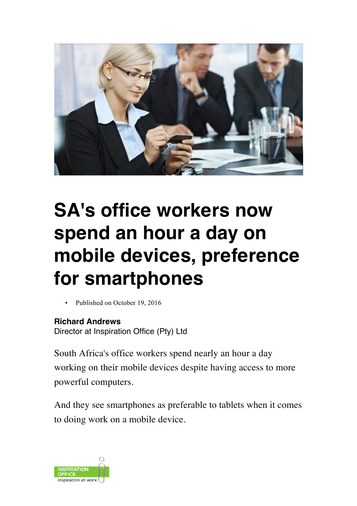

## **SA's office workers now spend an hour a day on mobile devices, preference for smartphones**

• Published on October 19, 2016

## **Richard Andrews**

Director at Inspiration Office (Pty) Ltd

South Africa's office workers spend nearly an hour a day working on their mobile devices despite having access to more powerful computers.

And they see smartphones as preferable to tablets when it comes to doing work on a mobile device.

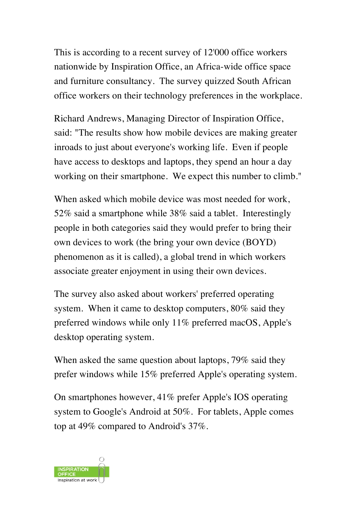This is according to a recent survey of 12'000 office workers nationwide by Inspiration Office, an Africa-wide office space and furniture consultancy. The survey quizzed South African office workers on their technology preferences in the workplace.

Richard Andrews, Managing Director of Inspiration Office, said: "The results show how mobile devices are making greater inroads to just about everyone's working life. Even if people have access to desktops and laptops, they spend an hour a day working on their smartphone. We expect this number to climb."

When asked which mobile device was most needed for work, 52% said a smartphone while 38% said a tablet. Interestingly people in both categories said they would prefer to bring their own devices to work (the bring your own device (BOYD) phenomenon as it is called), a global trend in which workers associate greater enjoyment in using their own devices.

The survey also asked about workers' preferred operating system. When it came to desktop computers, 80% said they preferred windows while only 11% preferred macOS, Apple's desktop operating system.

When asked the same question about laptops, 79% said they prefer windows while 15% preferred Apple's operating system.

On smartphones however, 41% prefer Apple's IOS operating system to Google's Android at 50%. For tablets, Apple comes top at 49% compared to Android's 37%.